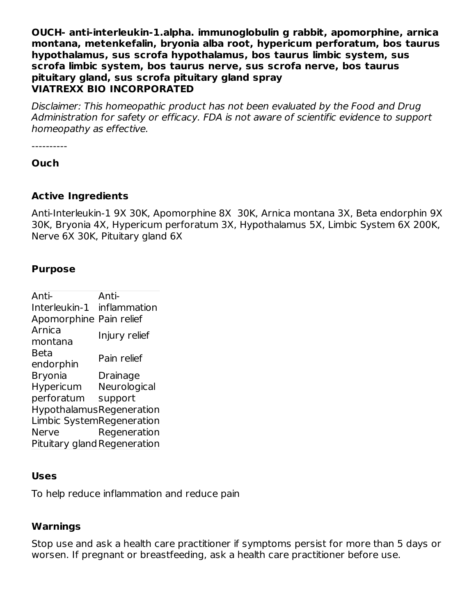**OUCH- anti-interleukin-1.alpha. immunoglobulin g rabbit, apomorphine, arnica montana, metenkefalin, bryonia alba root, hypericum perforatum, bos taurus hypothalamus, sus scrofa hypothalamus, bos taurus limbic system, sus scrofa limbic system, bos taurus nerve, sus scrofa nerve, bos taurus pituitary gland, sus scrofa pituitary gland spray VIATREXX BIO INCORPORATED**

Disclaimer: This homeopathic product has not been evaluated by the Food and Drug Administration for safety or efficacy. FDA is not aware of scientific evidence to support homeopathy as effective.

----------

**Ouch**

#### **Active Ingredients**

Anti-Interleukin-1 9X 30K, Apomorphine 8X 30K, Arnica montana 3X, Beta endorphin 9X 30K, Bryonia 4X, Hypericum perforatum 3X, Hypothalamus 5X, Limbic System 6X 200K, Nerve 6X 30K, Pituitary gland 6X

### **Purpose**

Anti-Interleukin-1 inflammation Anti-Apomorphine Pain relief Arnica montana Injury relief Beta endorphin Pain relief Bryonia Drainage Hypericum perforatum **Neurological** support HypothalamusRegeneration Limbic SystemRegeneration Nerve Regeneration Pituitary gland Regeneration

### **Uses**

To help reduce inflammation and reduce pain

# **Warnings**

Stop use and ask a health care practitioner if symptoms persist for more than 5 days or worsen. If pregnant or breastfeeding, ask a health care practitioner before use.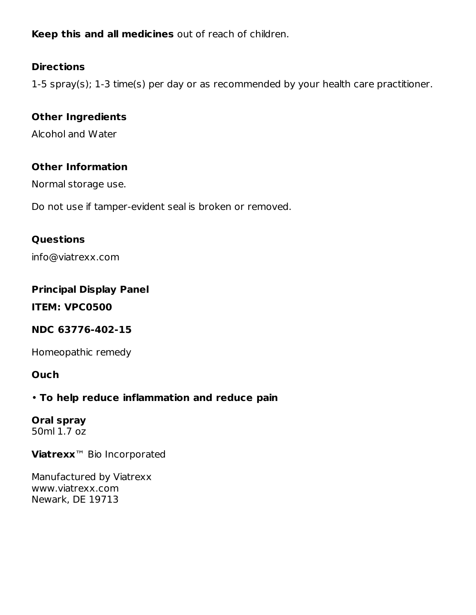**Keep this and all medicines** out of reach of children.

### **Directions**

1-5 spray(s); 1-3 time(s) per day or as recommended by your health care practitioner.

# **Other Ingredients**

Alcohol and Water

### **Other Information**

Normal storage use.

Do not use if tamper-evident seal is broken or removed.

### **Questions**

info@viatrexx.com

### **Principal Display Panel**

**ITEM: VPC0500**

### **NDC 63776-402-15**

Homeopathic remedy

### **Ouch**

### • **To help reduce inflammation and reduce pain**

# **Oral spray**

50ml 1.7 oz

**Viatrexx**™ Bio Incorporated

Manufactured by Viatrexx www.viatrexx.com Newark, DE 19713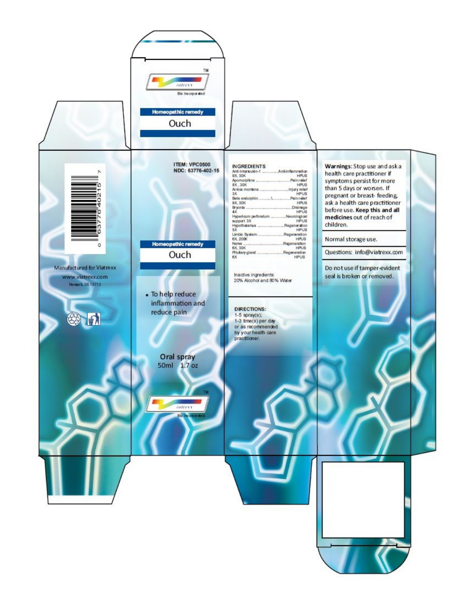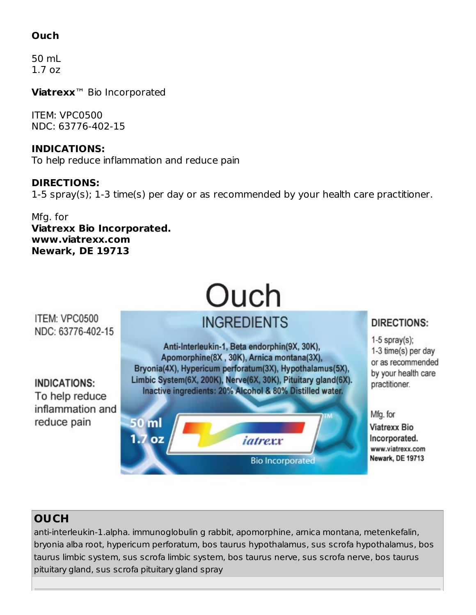# **Ouch**

50 mL 1.7 oz

**Viatrexx**™ Bio Incorporated

ITEM: VPC0500 NDC: 63776-402-15

**INDICATIONS:** To help reduce inflammation and reduce pain

**DIRECTIONS:** 1-5 spray(s); 1-3 time(s) per day or as recommended by your health care practitioner.

#### Mfg. for **Viatrexx Bio Incorporated. www.viatrexx.com Newark, DE 19713**

# Ouch **INGREDIENTS**

ITEM: VPC0500 NDC: 63776-402-15

**INDICATIONS:** To help reduce inflammation and reduce pain

Anti-Interleukin-1, Beta endorphin(9X, 30K), Apomorphine(8X, 30K), Arnica montana(3X), Bryonia(4X), Hypericum perforatum(3X), Hypothalamus(5X), Limbic System(6X, 200K), Nerve(6X, 30K), Pituitary gland(6X). Inactive ingredients: 20% Alcohol & 80% Distilled water.



# DIRECTIONS:

 $1-5$  spray(s); 1-3 time(s) per day or as recommended by your health care practitioner.

Mfg. for **Viatrexx Bio** Incorporated. www.viatrexx.com Newark, DE 19713

### **OUCH**

anti-interleukin-1.alpha. immunoglobulin g rabbit, apomorphine, arnica montana, metenkefalin, bryonia alba root, hypericum perforatum, bos taurus hypothalamus, sus scrofa hypothalamus, bos taurus limbic system, sus scrofa limbic system, bos taurus nerve, sus scrofa nerve, bos taurus pituitary gland, sus scrofa pituitary gland spray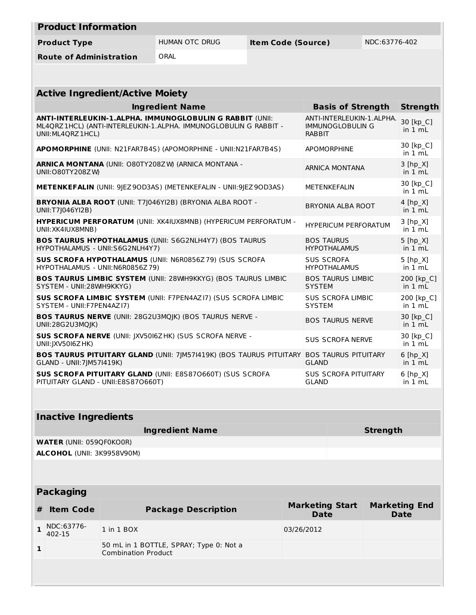| <b>Product Information</b>     |                |                           |               |
|--------------------------------|----------------|---------------------------|---------------|
| <b>Product Type</b>            | HUMAN OTC DRUG | <b>Item Code (Source)</b> | NDC:63776-402 |
| <b>Route of Administration</b> | ORAL           |                           |               |

| <b>Active Ingredient/Active Moiety</b>                                                                                                              |                                                                       |                                    |  |  |
|-----------------------------------------------------------------------------------------------------------------------------------------------------|-----------------------------------------------------------------------|------------------------------------|--|--|
| <b>Ingredient Name</b>                                                                                                                              | <b>Basis of Strength</b>                                              | <b>Strength</b>                    |  |  |
| ANTI-INTERLEUKIN-1.ALPHA. IMMUNOGLOBULIN G RABBIT (UNII:<br>ML4QRZ 1HCL) (ANTI-INTERLEUKIN-1.ALPHA. IMMUNOGLOBULIN G RABBIT -<br>UNII: ML4QRZ 1HCL) | ANTI-INTERLEUKIN-1.ALPHA.<br><b>IMMUNOGLOBULIN G</b><br><b>RABBIT</b> | 30 [kp_C]<br>in $1 \text{ mL}$     |  |  |
| APOMORPHINE (UNII: N21FAR7B4S) (APOMORPHINE - UNII:N21FAR7B4S)                                                                                      | <b>APOMORPHINE</b>                                                    | 30 [kp C]<br>in 1 mL               |  |  |
| <b>ARNICA MONTANA (UNII: O80TY208ZW) (ARNICA MONTANA -</b><br>UNII: O80TY208ZW)                                                                     | <b>ARNICA MONTANA</b>                                                 | $3$ [hp $X$ ]<br>in $1 mL$         |  |  |
| <b>METENKEFALIN</b> (UNII: 9 EZ9OD3AS) (METENKEFALIN - UNII:9 EZ9OD3AS)                                                                             | <b>METENKEFALIN</b>                                                   | 30 [kp C]<br>in 1 mL               |  |  |
| <b>BRYONIA ALBA ROOT (UNII: T7J046YI2B) (BRYONIA ALBA ROOT -</b><br>UNII:T7J046YI2B)                                                                | <b>BRYONIA ALBA ROOT</b>                                              | 4 [hp X]<br>in 1 mL                |  |  |
| <b>HYPERICUM PERFORATUM (UNII: XK4IUX8MNB) (HYPERICUM PERFORATUM -</b><br>UNII: XK4IUX8MNB)                                                         | <b>HYPERICUM PERFORATUM</b>                                           | $3$ [hp $X$ ]<br>in $1 \text{ mL}$ |  |  |
| <b>BOS TAURUS HYPOTHALAMUS (UNII: S6G2NLH4Y7) (BOS TAURUS</b><br>HYPOTHALAMUS - UNII:S6G2NLH4Y7)                                                    | <b>BOS TAURUS</b><br><b>HYPOTHALAMUS</b>                              | $5$ [hp $X$ ]<br>in 1 mL           |  |  |
| <b>SUS SCROFA HYPOTHALAMUS (UNII: N6R0856Z79) (SUS SCROFA</b><br>HYPOTHALAMUS - UNII:N6R0856Z79)                                                    | <b>SUS SCROFA</b><br><b>HYPOTHALAMUS</b>                              | 5 [hp X]<br>in 1 mL                |  |  |
| <b>BOS TAURUS LIMBIC SYSTEM (UNII: 28WH9KKYG) (BOS TAURUS LIMBIC</b><br>SYSTEM - UNII:28WH9KKYG)                                                    | <b>BOS TAURUS LIMBIC</b><br><b>SYSTEM</b>                             | 200 [kp C]<br>in 1 mL              |  |  |
| <b>SUS SCROFA LIMBIC SYSTEM (UNII: F7PEN4AZI7) (SUS SCROFA LIMBIC</b><br>SYSTEM - UNII:F7PEN4AZI7)                                                  | <b>SUS SCROFA LIMBIC</b><br><b>SYSTEM</b>                             | 200 [kp C]<br>in $1 mL$            |  |  |
| <b>BOS TAURUS NERVE (UNII: 28G2U3MQJK) (BOS TAURUS NERVE -</b><br>UNII:28G2U3MOIK)                                                                  | <b>BOS TAURUS NERVE</b>                                               | 30 [kp C]<br>in 1 mL               |  |  |
| SUS SCROFA NERVE (UNII: JXV5016ZHK) (SUS SCROFA NERVE -<br>UNII: JXV5016Z HK)                                                                       | <b>SUS SCROFA NERVE</b>                                               | 30 [kp C]<br>in 1 mL               |  |  |
| <b>BOS TAURUS PITUITARY GLAND (UNII: 7   M571419K) (BOS TAURUS PITUITARY</b><br>GLAND - UNII: 7JM57I419K)                                           | <b>BOS TAURUS PITUITARY</b><br><b>GLAND</b>                           | $6$ [hp $X$ ]<br>in $1 mL$         |  |  |
| <b>SUS SCROFA PITUITARY GLAND (UNII: E8S870660T) (SUS SCROFA</b><br>PITUITARY GLAND - UNII:E8S870660T)                                              | <b>SUS SCROFA PITUITARY</b><br><b>GLAND</b>                           | $6$ [hp $X$ ]<br>in 1 mL           |  |  |

# **Inactive Ingredients**

| Ingredient Name                   | Strength |
|-----------------------------------|----------|
| <b>WATER (UNII: 059QF0KO0R)</b>   |          |
| <b>ALCOHOL</b> (UNII: 3K9958V90M) |          |

# **Packaging**

| # | <b>Item Code</b>     | <b>Package Description</b>                                            | <b>Marketing Start</b><br><b>Date</b> | <b>Marketing End</b><br><b>Date</b> |
|---|----------------------|-----------------------------------------------------------------------|---------------------------------------|-------------------------------------|
|   | NDC:63776-<br>402-15 | 1 in 1 BOX                                                            | 03/26/2012                            |                                     |
|   |                      | 50 mL in 1 BOTTLE, SPRAY; Type 0: Not a<br><b>Combination Product</b> |                                       |                                     |
|   |                      |                                                                       |                                       |                                     |